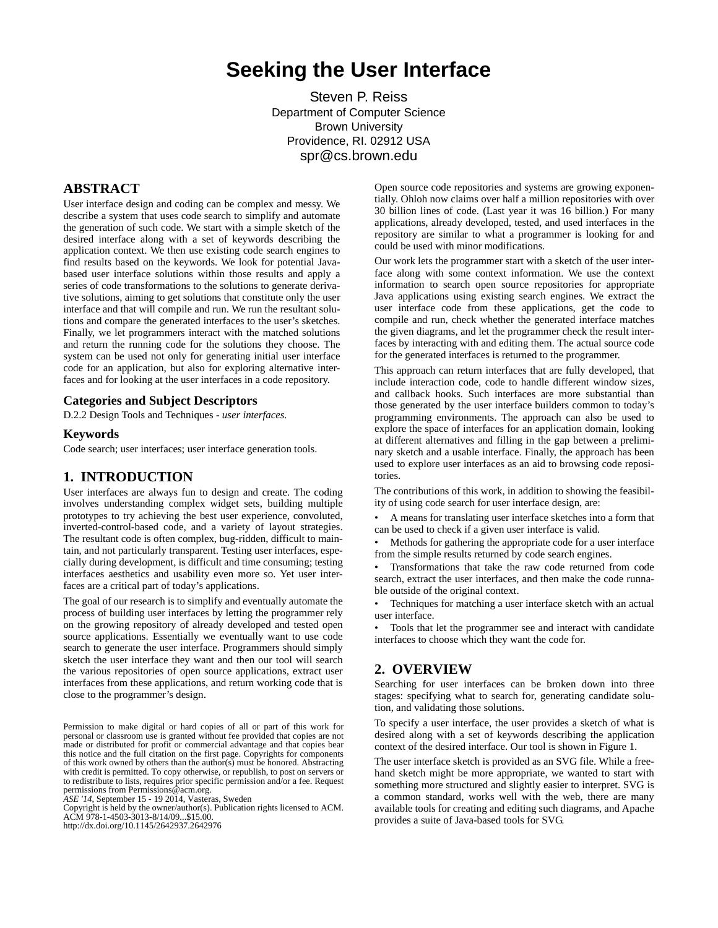# **Seeking the User Interface**

Steven P. Reiss Department of Computer Science Brown University Providence, RI. 02912 USA spr@cs.brown.edu

# **ABSTRACT**

User interface design and coding can be complex and messy. We describe a system that uses code search to simplify and automate the generation of such code. We start with a simple sketch of the desired interface along with a set of keywords describing the application context. We then use existing code search engines to find results based on the keywords. We look for potential Javabased user interface solutions within those results and apply a series of code transformations to the solutions to generate derivative solutions, aiming to get solutions that constitute only the user interface and that will compile and run. We run the resultant solutions and compare the generated interfaces to the user's sketches. Finally, we let programmers interact with the matched solutions and return the running code for the solutions they choose. The system can be used not only for generating initial user interface code for an application, but also for exploring alternative interfaces and for looking at the user interfaces in a code repository.

### **Categories and Subject Descriptors**

D.2.2 Design Tools and Techniques - *user interfaces.*

#### **Keywords**

Code search; user interfaces; user interface generation tools.

### **1. INTRODUCTION**

User interfaces are always fun to design and create. The coding involves understanding complex widget sets, building multiple prototypes to try achieving the best user experience, convoluted, inverted-control-based code, and a variety of layout strategies. The resultant code is often complex, bug-ridden, difficult to maintain, and not particularly transparent. Testing user interfaces, especially during development, is difficult and time consuming; testing interfaces aesthetics and usability even more so. Yet user interfaces are a critical part of today's applications.

The goal of our research is to simplify and eventually automate the process of building user interfaces by letting the programmer rely on the growing repository of already developed and tested open source applications. Essentially we eventually want to use code search to generate the user interface. Programmers should simply sketch the user interface they want and then our tool will search the various repositories of open source applications, extract user interfaces from these applications, and return working code that is close to the programmer's design.

*ASE '14*, September 15 - 19 2014, Vasteras, Sweden

Copyright is held by the owner/author(s). Publication rights licensed to ACM. ACM 978-1-4503-3013-8/14/09...\$15.00. http://dx.doi.org/10.1145/2642937.2642976

Open source code repositories and systems are growing exponentially. Ohloh now claims over half a million repositories with over 30 billion lines of code. (Last year it was 16 billion.) For many applications, already developed, tested, and used interfaces in the repository are similar to what a programmer is looking for and could be used with minor modifications.

Our work lets the programmer start with a sketch of the user interface along with some context information. We use the context information to search open source repositories for appropriate Java applications using existing search engines. We extract the user interface code from these applications, get the code to compile and run, check whether the generated interface matches the given diagrams, and let the programmer check the result interfaces by interacting with and editing them. The actual source code for the generated interfaces is returned to the programmer.

This approach can return interfaces that are fully developed, that include interaction code, code to handle different window sizes, and callback hooks. Such interfaces are more substantial than those generated by the user interface builders common to today's programming environments. The approach can also be used to explore the space of interfaces for an application domain, looking at different alternatives and filling in the gap between a preliminary sketch and a usable interface. Finally, the approach has been used to explore user interfaces as an aid to browsing code repositories.

The contributions of this work, in addition to showing the feasibility of using code search for user interface design, are:

• A means for translating user interface sketches into a form that can be used to check if a given user interface is valid.

• Methods for gathering the appropriate code for a user interface from the simple results returned by code search engines.

• Transformations that take the raw code returned from code search, extract the user interfaces, and then make the code runnable outside of the original context.

Techniques for matching a user interface sketch with an actual user interface.

• Tools that let the programmer see and interact with candidate interfaces to choose which they want the code for.

### **2. OVERVIEW**

Searching for user interfaces can be broken down into three stages: specifying what to search for, generating candidate solution, and validating those solutions.

To specify a user interface, the user provides a sketch of what is desired along with a set of keywords describing the application context of the desired interface. Our tool is shown in Figure 1.

The user interface sketch is provided as an SVG file. While a freehand sketch might be more appropriate, we wanted to start with something more structured and slightly easier to interpret. SVG is a common standard, works well with the web, there are many available tools for creating and editing such diagrams, and Apache provides a suite of Java-based tools for SVG.

Permission to make digital or hard copies of all or part of this work for personal or classroom use is granted without fee provided that copies are not made or distributed for profit or commercial advantage and that copies bear this notice and the full citation on the first page. Copyrights for components of this work owned by others than the author(s) must be honored. Abstracting with credit is permitted. To copy otherwise, or republish, to post on servers or to redistribute to lists, requires prior specific permission and/or a fee. Request permissions from Permissions@acm.org.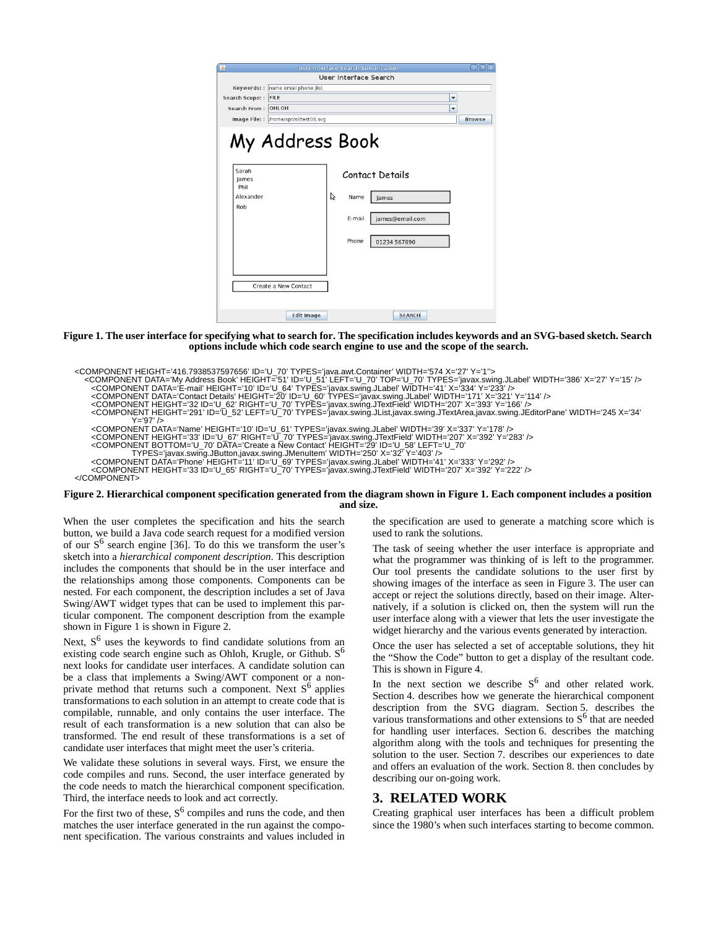| User Interface Search<br>Keywords: : name email phone jlist<br><b>FILE</b><br>Search Scope: :<br>$\blacktriangledown$<br>ОНГОН<br>Search From:<br>۰<br>Image File: : /home/spr/s6test08.svg<br><b>Browse</b>               | 国 |  |  |  |  |  |  |  |  |  |  |
|----------------------------------------------------------------------------------------------------------------------------------------------------------------------------------------------------------------------------|---|--|--|--|--|--|--|--|--|--|--|
|                                                                                                                                                                                                                            |   |  |  |  |  |  |  |  |  |  |  |
|                                                                                                                                                                                                                            |   |  |  |  |  |  |  |  |  |  |  |
|                                                                                                                                                                                                                            |   |  |  |  |  |  |  |  |  |  |  |
|                                                                                                                                                                                                                            |   |  |  |  |  |  |  |  |  |  |  |
|                                                                                                                                                                                                                            |   |  |  |  |  |  |  |  |  |  |  |
| My Address Book<br>Sarah<br>Contact Details<br>James<br>Phil<br>Ą<br>Alexander<br>Name<br>lames<br>Rob<br>E-mail<br>james@email.com<br>Phone<br>01234 567890<br>Create a New Contact<br><b>SEARCH</b><br><b>Edit Image</b> |   |  |  |  |  |  |  |  |  |  |  |

**Figure 1. The user interface for specifying what to search for. The specification includes keywords and an SVG-based sketch. Search options include which code search engine to use and the scope of the search.**

<COMPONENT HEIGHT='416.7938537597656' ID='U\_70' TYPES='java.awt.Container' WIDTH='574 X='27' Y='1''> <COMPONENT DATA='My Address Book' HEIGHT='51' ID='U\_51' LEFT='U\_70' TOP='U\_70' TYPES='javax.swing.JLabel' WIDTH='386' X='27' Y='15' /><br><COMPONENT DATA='E-mail' HEIGHT='10' ID='U\_64' TYPES='javax.swing.JLabel' WiDTH='41' X <COMPONENT HEIGHT='32 ID='U\_62' RIGHT='U\_70' TYPES='javax.swing.JTextField' WIDTH='207' X='393' Y='166' /><br><COMPONENT HEIGHT='291' ID='U\_52' LEFT='U\_70' TYPES='javax.swing.JList,javax.swing.JTextArea,javax.swing.JEditorPan Y='97' /> <COMPONENT DATA='Name' HEIGHT='10' ID='U\_61' TYPES='javax.swing.JLabel' WIDTH='39' X='337' Y='178' /><br><COMPONENT HEIGHT='33' ID='U\_67' RIGHT='U\_70' TYPES='javax.swing.JTextField' WIDTH='207' X='392' Y='283' /><br><COMPONENT – TYPES='javax.swing.JButton,javax.swing.JMenuItem' WIDTH='250' X='32' Y='403' /><br><СОМРОNENT DATA='Phone' HEIGHT='11' ID='U\_69' TYPES='javax.swing.JLabel' WIDTH='41' X='333' Y='292' /><br><СОМРОNENT HEIGHT='33 ID='U\_65' RIG </COMPONENT> **Figure 2. Hierarchical component specification generated from the diagram shown in Figure 1. Each component includes a position and size.** 

When the user completes the specification and hits the search button, we build a Java code search request for a modified version of our  $S^6$  search engine [36]. To do this we transform the user's sketch into a *hierarchical component description*. This description includes the components that should be in the user interface and the relationships among those components. Components can be nested. For each component, the description includes a set of Java Swing/AWT widget types that can be used to implement this particular component. The component description from the example shown in Figure 1 is shown in Figure 2.

Next,  $S<sup>6</sup>$  uses the keywords to find candidate solutions from an existing code search engine such as Ohloh, Krugle, or Github.  $S^6$ next looks for candidate user interfaces. A candidate solution can be a class that implements a Swing/AWT component or a nonprivate method that returns such a component. Next  $S<sup>6</sup>$  applies transformations to each solution in an attempt to create code that is compilable, runnable, and only contains the user interface. The result of each transformation is a new solution that can also be transformed. The end result of these transformations is a set of candidate user interfaces that might meet the user's criteria.

We validate these solutions in several ways. First, we ensure the code compiles and runs. Second, the user interface generated by the code needs to match the hierarchical component specification. Third, the interface needs to look and act correctly.

For the first two of these,  $S^6$  compiles and runs the code, and then matches the user interface generated in the run against the component specification. The various constraints and values included in the specification are used to generate a matching score which is used to rank the solutions.

The task of seeing whether the user interface is appropriate and what the programmer was thinking of is left to the programmer. Our tool presents the candidate solutions to the user first by showing images of the interface as seen in Figure 3. The user can accept or reject the solutions directly, based on their image. Alternatively, if a solution is clicked on, then the system will run the user interface along with a viewer that lets the user investigate the widget hierarchy and the various events generated by interaction.

Once the user has selected a set of acceptable solutions, they hit the "Show the Code" button to get a display of the resultant code. This is shown in Figure 4.

In the next section we describe  $S^6$  and other related work. Section 4. describes how we generate the hierarchical component description from the SVG diagram. Section 5. describes the various transformations and other extensions to  $S^6$  that are needed for handling user interfaces. Section 6. describes the matching algorithm along with the tools and techniques for presenting the solution to the user. Section 7. describes our experiences to date and offers an evaluation of the work. Section 8. then concludes by describing our on-going work.

### **3. RELATED WORK**

Creating graphical user interfaces has been a difficult problem since the 1980's when such interfaces starting to become common.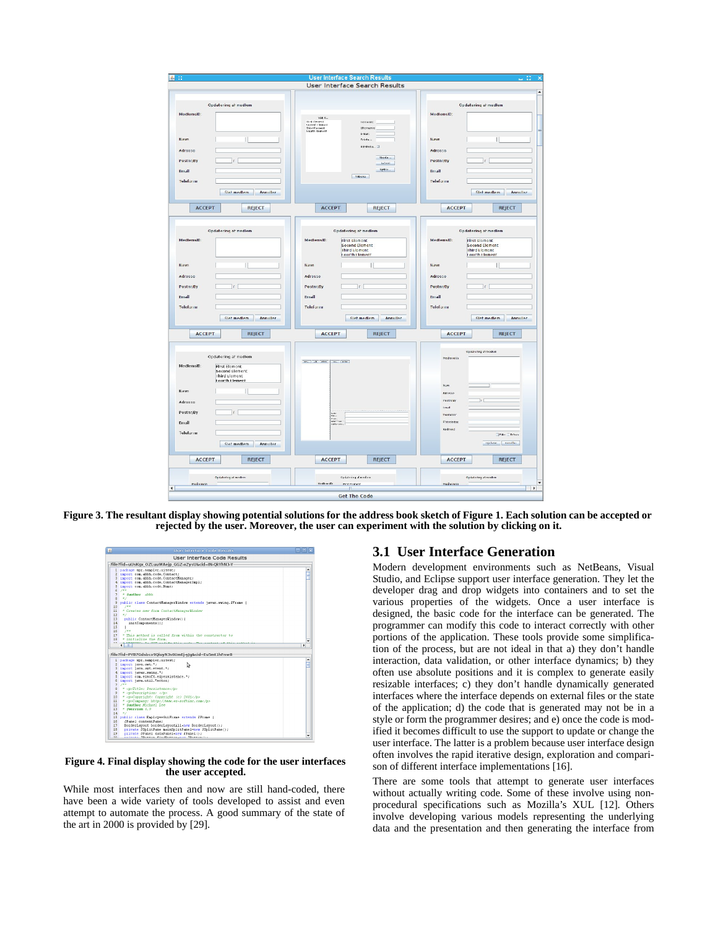| <b>User Interface Search Results</b><br>m<br>- 11<br><b>User Interface Search Results</b>                                                                                                                                  |                                                                                                                                                                                                                            |                                                                                                                                                                                                                          |  |  |  |  |  |  |  |
|----------------------------------------------------------------------------------------------------------------------------------------------------------------------------------------------------------------------------|----------------------------------------------------------------------------------------------------------------------------------------------------------------------------------------------------------------------------|--------------------------------------------------------------------------------------------------------------------------------------------------------------------------------------------------------------------------|--|--|--|--|--|--|--|
| Opdatering at medlem<br>MedlemsID:<br>Navn<br>Adresse<br>Postnr/By<br>$\frac{1}{2}$<br>Email<br>Telefonni<br>Slet medlem<br>Annuller                                                                                       | Volk.<br>Tiret Hemed<br>Second Hemed<br>Teird Flemed<br>Fourth Flement<br>ternanni<br>kfternamm<br>E-mail:<br>Telefa<br>Adminsta<br>Uppda<br>$-$ taching<br>nytt k<br><b>ПІВАКА</b>                                        | Opdatering at medlem<br>MedlemsID:<br>Navn<br>Adresse<br>Postnr/By<br>Tr.<br>Email<br>Telefonni<br>Slat medlem<br>Annuller                                                                                               |  |  |  |  |  |  |  |
| <b>ACCEPT</b><br><b>REJECT</b>                                                                                                                                                                                             | <b>ACCEPT</b><br><b>REJECT</b>                                                                                                                                                                                             | <b>REJECT</b><br><b>ACCEPT</b>                                                                                                                                                                                           |  |  |  |  |  |  |  |
| Opdatering at medlem<br>MedlemsID:<br>Navn<br>Adresse<br>Postnr/By<br>$\mathcal{U}$<br>Email<br>Teleform<br>Slet medlem<br>Annuller                                                                                        | Opdatering at medlem<br>MedlemsID:<br><b>First Element</b><br><b>Second Element</b><br>Third Element<br>I ourth I lement<br>Navn<br>Adresse<br>Postnr/By<br>$\mathcal{L}$<br>Email<br>Telefonni<br>Slet medlem<br>Annuller | Opdatering at medlem<br>MedlemsID:<br><b>First Element</b><br><b>Second Element</b><br>third Element<br><b>Lourth Llement</b><br>Navn<br>Adresse<br>Postnr/By<br>$\vert$<br>Email<br>Teleform<br>Slet medlem<br>Annuller |  |  |  |  |  |  |  |
| <b>REJECT</b><br><b>ACCEPT</b><br>Opdatering at medlem<br>MedlemsID:<br><b>First Element</b><br>Second Element<br>I hird Element<br>I ourth I lement<br>Navn<br>Adresse<br>Postnr/By<br>$\mathcal{L}$<br>Email<br>Teleform | <b>ACCEPT</b><br><b>REJECT</b><br>$\frac{1}{2}$<br>$\begin{bmatrix} \mathbf{r}_{1},\mathbf{u}_{1},\ldots,\mathbf{u}_{n} \\ \mathbf{u}_{k}\mathbf{r}_{k},\ldots,\mathbf{u}_{n} \end{bmatrix}$ sektor vert                   | <b>REJECT</b><br><b>ACCEPT</b><br>Opdatering at mediem<br>Medlems(D)<br>Nam<br>Adresse<br>PastnrBy<br>17<br>Louis 1<br>Telefonne<br>Presendae<br>Kedeved<br>$\Box$ Fifthe $\Box$ Triber                                  |  |  |  |  |  |  |  |
| Slet medlem<br>Annuller<br><b>REJECT</b><br><b>ACCEPT</b>                                                                                                                                                                  | <b>REJECT</b><br><b>ACCEPT</b>                                                                                                                                                                                             | Opdater Annaller<br><b>REJECT</b><br><b>ACCEPT</b>                                                                                                                                                                       |  |  |  |  |  |  |  |
| Opdatering at medlem<br>Hedlemap:                                                                                                                                                                                          | Opdatering of medlem<br>Mediemstb:<br><b>First Financhi</b><br>Ш<br><b>Get The Code</b>                                                                                                                                    | Opdatering at mediem<br>Medlemsto:<br>$  \cdot  $                                                                                                                                                                        |  |  |  |  |  |  |  |

**Figure 3. The resultant display showing potential solutions for the address book sketch of Figure 1. Each solution can be accepted or rejected by the user. Moreover, the user can experiment with the solution by clicking on it.** 

|                                                        | <b>User Interface Code Results</b>                                                            |   |  |  |  |  |  |  |
|--------------------------------------------------------|-----------------------------------------------------------------------------------------------|---|--|--|--|--|--|--|
| User Interface Code Results                            |                                                                                               |   |  |  |  |  |  |  |
| -/file?fid-uUsKqx OZLuuWAejp GGZ-xZysU&cid-IN-QkYhN3-Y |                                                                                               |   |  |  |  |  |  |  |
| ۰<br>1 package spr.sampler.uitest;                     |                                                                                               |   |  |  |  |  |  |  |
|                                                        | 2 innort con.abbh.code.Contact:                                                               |   |  |  |  |  |  |  |
|                                                        | 3 import com. abbh. code. ContactManager:                                                     |   |  |  |  |  |  |  |
|                                                        | 4 inport com. abbh. code. ContactManagerInpl:                                                 |   |  |  |  |  |  |  |
| s                                                      | inport con.abbh.code.Name:                                                                    |   |  |  |  |  |  |  |
|                                                        | 6 / 10                                                                                        |   |  |  |  |  |  |  |
| 7                                                      | * <i>Pauthor</i> abbb                                                                         |   |  |  |  |  |  |  |
| 8                                                      | $\bullet$                                                                                     |   |  |  |  |  |  |  |
| ۰                                                      | public class ContactHanagerWindow extends javax.swing.JFrame {                                |   |  |  |  |  |  |  |
| 10                                                     | $7 + 4$                                                                                       |   |  |  |  |  |  |  |
| 11                                                     | * Creates new form ContactManagerWindow                                                       |   |  |  |  |  |  |  |
| 12                                                     | $\cdot$                                                                                       |   |  |  |  |  |  |  |
| 13.                                                    | public ContactManagerWindow() {                                                               |   |  |  |  |  |  |  |
| 14<br>15                                               | initComponents () ;                                                                           |   |  |  |  |  |  |  |
| 16                                                     | з.<br>188                                                                                     |   |  |  |  |  |  |  |
| 17                                                     | * This method is called from within the constructor to                                        |   |  |  |  |  |  |  |
| 18                                                     | * initialize the form.                                                                        |   |  |  |  |  |  |  |
| s es                                                   | constanting the store as                                                                      |   |  |  |  |  |  |  |
|                                                        | $\blacktriangleleft$<br>- 11                                                                  | ¥ |  |  |  |  |  |  |
|                                                        |                                                                                               |   |  |  |  |  |  |  |
|                                                        | /file?fid=PYB7Gdsbco9QiuyN3s6UmEj-yJq&cid=Eu5mt1hFnw8                                         |   |  |  |  |  |  |  |
|                                                        | 1 package spr.sampler.uitest;                                                                 | ۸ |  |  |  |  |  |  |
|                                                        | 2 innort java.awt.*;                                                                          |   |  |  |  |  |  |  |
|                                                        | 3 innort java.awt.event.":                                                                    |   |  |  |  |  |  |  |
|                                                        | 4 import javax.swing.";                                                                       |   |  |  |  |  |  |  |
|                                                        | 5 innort con.ezsoft.ezpersistence.*;                                                          |   |  |  |  |  |  |  |
|                                                        | 6 inport java.util.Vector:                                                                    |   |  |  |  |  |  |  |
|                                                        | $7.7 +$                                                                                       |   |  |  |  |  |  |  |
|                                                        |                                                                                               |   |  |  |  |  |  |  |
| 8                                                      | * <p>Title: Persistence</p>                                                                   |   |  |  |  |  |  |  |
| ۰                                                      | * <p>Description: </p>                                                                        |   |  |  |  |  |  |  |
| 10                                                     | * <p>Copyright: Copyright (c) 2001</p>                                                        |   |  |  |  |  |  |  |
| 11                                                     | * <p>Company: http://www.ez-softinc.com</p>                                                   |   |  |  |  |  |  |  |
| $12^{12}$                                              | * Pauthor Michael Lee                                                                         |   |  |  |  |  |  |  |
| 13                                                     | * Aversion 0.9                                                                                |   |  |  |  |  |  |  |
| 14                                                     | $\bullet$                                                                                     |   |  |  |  |  |  |  |
|                                                        | 15 public class EmployeeGuiFrame extends JFrame {                                             |   |  |  |  |  |  |  |
| 16                                                     | JPanel contentPane:                                                                           |   |  |  |  |  |  |  |
| 17                                                     | BorderLavout borderLavoutAll=new BorderLavout();                                              |   |  |  |  |  |  |  |
| 18.<br>19                                              | private JSplitPane mainSplitPanel=new JSplitPane();<br>private JPanel dataPanel-new JPanel(); |   |  |  |  |  |  |  |

#### **Figure 4. Final display showing the code for the user interfaces the user accepted.**

While most interfaces then and now are still hand-coded, there have been a wide variety of tools developed to assist and even attempt to automate the process. A good summary of the state of the art in 2000 is provided by [29].

# **3.1 User Interface Generation**

Modern development environments such as NetBeans, Visual Studio, and Eclipse support user interface generation. They let the developer drag and drop widgets into containers and to set the various properties of the widgets. Once a user interface is designed, the basic code for the interface can be generated. The programmer can modify this code to interact correctly with other portions of the application. These tools provide some simplification of the process, but are not ideal in that a) they don't handle interaction, data validation, or other interface dynamics; b) they often use absolute positions and it is complex to generate easily resizable interfaces; c) they don't handle dynamically generated interfaces where the interface depends on external files or the state of the application; d) the code that is generated may not be in a style or form the programmer desires; and e) once the code is modified it becomes difficult to use the support to update or change the user interface. The latter is a problem because user interface design often involves the rapid iterative design, exploration and comparison of different interface implementations [16].

There are some tools that attempt to generate user interfaces without actually writing code. Some of these involve using nonprocedural specifications such as Mozilla's XUL [12]. Others involve developing various models representing the underlying data and the presentation and then generating the interface from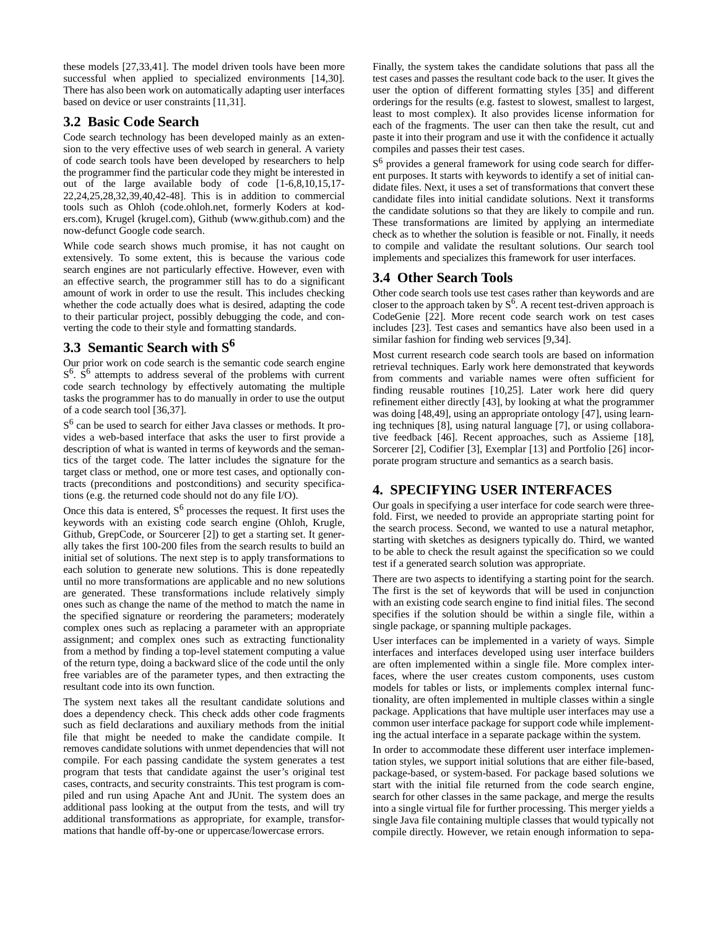these models [27,33,41]. The model driven tools have been more successful when applied to specialized environments [14,30]. There has also been work on automatically adapting user interfaces based on device or user constraints [11,31].

# **3.2 Basic Code Search**

Code search technology has been developed mainly as an extension to the very effective uses of web search in general. A variety of code search tools have been developed by researchers to help the programmer find the particular code they might be interested in out of the large available body of code [1-6,8,10,15,17- 22,24,25,28,32,39,40,42-48]. This is in addition to commercial tools such as Ohloh (code.ohloh.net, formerly Koders at koders.com), Krugel (krugel.com), Github (www.github.com) and the now-defunct Google code search.

While code search shows much promise, it has not caught on extensively. To some extent, this is because the various code search engines are not particularly effective. However, even with an effective search, the programmer still has to do a significant amount of work in order to use the result. This includes checking whether the code actually does what is desired, adapting the code to their particular project, possibly debugging the code, and converting the code to their style and formatting standards.

# **3.3 Semantic Search with S<sup>6</sup>**

Our prior work on code search is the semantic code search engine  $S^6$ .  $\dot{S}^6$  attempts to address several of the problems with current code search technology by effectively automating the multiple tasks the programmer has to do manually in order to use the output of a code search tool [36,37].

S<sup>6</sup> can be used to search for either Java classes or methods. It provides a web-based interface that asks the user to first provide a description of what is wanted in terms of keywords and the semantics of the target code. The latter includes the signature for the target class or method, one or more test cases, and optionally contracts (preconditions and postconditions) and security specifications (e.g. the returned code should not do any file I/O).

Once this data is entered,  $S^6$  processes the request. It first uses the keywords with an existing code search engine (Ohloh, Krugle, Github, GrepCode, or Sourcerer [2]) to get a starting set. It generally takes the first 100-200 files from the search results to build an initial set of solutions. The next step is to apply transformations to each solution to generate new solutions. This is done repeatedly until no more transformations are applicable and no new solutions are generated. These transformations include relatively simply ones such as change the name of the method to match the name in the specified signature or reordering the parameters; moderately complex ones such as replacing a parameter with an appropriate assignment; and complex ones such as extracting functionality from a method by finding a top-level statement computing a value of the return type, doing a backward slice of the code until the only free variables are of the parameter types, and then extracting the resultant code into its own function.

The system next takes all the resultant candidate solutions and does a dependency check. This check adds other code fragments such as field declarations and auxiliary methods from the initial file that might be needed to make the candidate compile. It removes candidate solutions with unmet dependencies that will not compile. For each passing candidate the system generates a test program that tests that candidate against the user's original test cases, contracts, and security constraints. This test program is compiled and run using Apache Ant and JUnit. The system does an additional pass looking at the output from the tests, and will try additional transformations as appropriate, for example, transformations that handle off-by-one or uppercase/lowercase errors.

Finally, the system takes the candidate solutions that pass all the test cases and passes the resultant code back to the user. It gives the user the option of different formatting styles [35] and different orderings for the results (e.g. fastest to slowest, smallest to largest, least to most complex). It also provides license information for each of the fragments. The user can then take the result, cut and paste it into their program and use it with the confidence it actually compiles and passes their test cases.

 $S<sup>6</sup>$  provides a general framework for using code search for different purposes. It starts with keywords to identify a set of initial candidate files. Next, it uses a set of transformations that convert these candidate files into initial candidate solutions. Next it transforms the candidate solutions so that they are likely to compile and run. These transformations are limited by applying an intermediate check as to whether the solution is feasible or not. Finally, it needs to compile and validate the resultant solutions. Our search tool implements and specializes this framework for user interfaces.

# **3.4 Other Search Tools**

Other code search tools use test cases rather than keywords and are closer to the approach taken by  $S^6$ . A recent test-driven approach is CodeGenie [22]. More recent code search work on test cases includes [23]. Test cases and semantics have also been used in a similar fashion for finding web services [9,34].

Most current research code search tools are based on information retrieval techniques. Early work here demonstrated that keywords from comments and variable names were often sufficient for finding reusable routines [10,25]. Later work here did query refinement either directly [43], by looking at what the programmer was doing [48,49], using an appropriate ontology [47], using learning techniques [8], using natural language [7], or using collaborative feedback [46]. Recent approaches, such as Assieme [18], Sorcerer [2], Codifier [3], Exemplar [13] and Portfolio [26] incorporate program structure and semantics as a search basis.

# **4. SPECIFYING USER INTERFACES**

Our goals in specifying a user interface for code search were threefold. First, we needed to provide an appropriate starting point for the search process. Second, we wanted to use a natural metaphor, starting with sketches as designers typically do. Third, we wanted to be able to check the result against the specification so we could test if a generated search solution was appropriate.

There are two aspects to identifying a starting point for the search. The first is the set of keywords that will be used in conjunction with an existing code search engine to find initial files. The second specifies if the solution should be within a single file, within a single package, or spanning multiple packages.

User interfaces can be implemented in a variety of ways. Simple interfaces and interfaces developed using user interface builders are often implemented within a single file. More complex interfaces, where the user creates custom components, uses custom models for tables or lists, or implements complex internal functionality, are often implemented in multiple classes within a single package. Applications that have multiple user interfaces may use a common user interface package for support code while implementing the actual interface in a separate package within the system.

In order to accommodate these different user interface implementation styles, we support initial solutions that are either file-based, package-based, or system-based. For package based solutions we start with the initial file returned from the code search engine, search for other classes in the same package, and merge the results into a single virtual file for further processing. This merger yields a single Java file containing multiple classes that would typically not compile directly. However, we retain enough information to sepa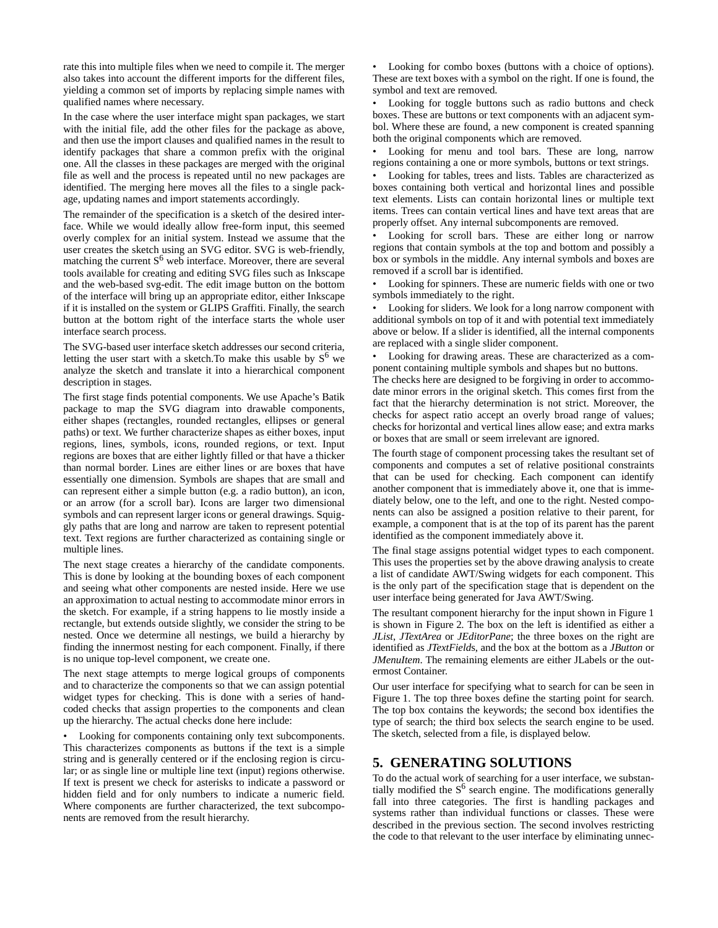rate this into multiple files when we need to compile it. The merger also takes into account the different imports for the different files, yielding a common set of imports by replacing simple names with qualified names where necessary.

In the case where the user interface might span packages, we start with the initial file, add the other files for the package as above, and then use the import clauses and qualified names in the result to identify packages that share a common prefix with the original one. All the classes in these packages are merged with the original file as well and the process is repeated until no new packages are identified. The merging here moves all the files to a single package, updating names and import statements accordingly.

The remainder of the specification is a sketch of the desired interface. While we would ideally allow free-form input, this seemed overly complex for an initial system. Instead we assume that the user creates the sketch using an SVG editor. SVG is web-friendly, matching the current  $S^6$  web interface. Moreover, there are several tools available for creating and editing SVG files such as Inkscape and the web-based svg-edit. The edit image button on the bottom of the interface will bring up an appropriate editor, either Inkscape if it is installed on the system or GLIPS Graffiti. Finally, the search button at the bottom right of the interface starts the whole user interface search process.

The SVG-based user interface sketch addresses our second criteria, letting the user start with a sketch. To make this usable by  $S^6$  we analyze the sketch and translate it into a hierarchical component description in stages.

The first stage finds potential components. We use Apache's Batik package to map the SVG diagram into drawable components, either shapes (rectangles, rounded rectangles, ellipses or general paths) or text. We further characterize shapes as either boxes, input regions, lines, symbols, icons, rounded regions, or text. Input regions are boxes that are either lightly filled or that have a thicker than normal border. Lines are either lines or are boxes that have essentially one dimension. Symbols are shapes that are small and can represent either a simple button (e.g. a radio button), an icon, or an arrow (for a scroll bar). Icons are larger two dimensional symbols and can represent larger icons or general drawings. Squiggly paths that are long and narrow are taken to represent potential text. Text regions are further characterized as containing single or multiple lines.

The next stage creates a hierarchy of the candidate components. This is done by looking at the bounding boxes of each component and seeing what other components are nested inside. Here we use an approximation to actual nesting to accommodate minor errors in the sketch. For example, if a string happens to lie mostly inside a rectangle, but extends outside slightly, we consider the string to be nested. Once we determine all nestings, we build a hierarchy by finding the innermost nesting for each component. Finally, if there is no unique top-level component, we create one.

The next stage attempts to merge logical groups of components and to characterize the components so that we can assign potential widget types for checking. This is done with a series of handcoded checks that assign properties to the components and clean up the hierarchy. The actual checks done here include:

Looking for components containing only text subcomponents. This characterizes components as buttons if the text is a simple string and is generally centered or if the enclosing region is circular; or as single line or multiple line text (input) regions otherwise. If text is present we check for asterisks to indicate a password or hidden field and for only numbers to indicate a numeric field. Where components are further characterized, the text subcomponents are removed from the result hierarchy.

• Looking for combo boxes (buttons with a choice of options). These are text boxes with a symbol on the right. If one is found, the symbol and text are removed.

Looking for toggle buttons such as radio buttons and check boxes. These are buttons or text components with an adjacent symbol. Where these are found, a new component is created spanning both the original components which are removed.

• Looking for menu and tool bars. These are long, narrow regions containing a one or more symbols, buttons or text strings.

• Looking for tables, trees and lists. Tables are characterized as boxes containing both vertical and horizontal lines and possible text elements. Lists can contain horizontal lines or multiple text items. Trees can contain vertical lines and have text areas that are properly offset. Any internal subcomponents are removed.

• Looking for scroll bars. These are either long or narrow regions that contain symbols at the top and bottom and possibly a box or symbols in the middle. Any internal symbols and boxes are removed if a scroll bar is identified.

• Looking for spinners. These are numeric fields with one or two symbols immediately to the right.

Looking for sliders. We look for a long narrow component with additional symbols on top of it and with potential text immediately above or below. If a slider is identified, all the internal components are replaced with a single slider component.

Looking for drawing areas. These are characterized as a component containing multiple symbols and shapes but no buttons.

The checks here are designed to be forgiving in order to accommodate minor errors in the original sketch. This comes first from the fact that the hierarchy determination is not strict. Moreover, the checks for aspect ratio accept an overly broad range of values; checks for horizontal and vertical lines allow ease; and extra marks or boxes that are small or seem irrelevant are ignored.

The fourth stage of component processing takes the resultant set of components and computes a set of relative positional constraints that can be used for checking. Each component can identify another component that is immediately above it, one that is immediately below, one to the left, and one to the right. Nested components can also be assigned a position relative to their parent, for example, a component that is at the top of its parent has the parent identified as the component immediately above it.

The final stage assigns potential widget types to each component. This uses the properties set by the above drawing analysis to create a list of candidate AWT/Swing widgets for each component. This is the only part of the specification stage that is dependent on the user interface being generated for Java AWT/Swing.

The resultant component hierarchy for the input shown in Figure 1 is shown in Figure 2. The box on the left is identified as either a *JList*, *JTextArea* or *JEditorPane*; the three boxes on the right are identified as *JTextField*s, and the box at the bottom as a *JButton* or *JMenuItem*. The remaining elements are either JLabels or the outermost Container.

Our user interface for specifying what to search for can be seen in Figure 1. The top three boxes define the starting point for search. The top box contains the keywords; the second box identifies the type of search; the third box selects the search engine to be used. The sketch, selected from a file, is displayed below.

### **5. GENERATING SOLUTIONS**

To do the actual work of searching for a user interface, we substantially modified the  $S<sup>6</sup>$  search engine. The modifications generally fall into three categories. The first is handling packages and systems rather than individual functions or classes. These were described in the previous section. The second involves restricting the code to that relevant to the user interface by eliminating unnec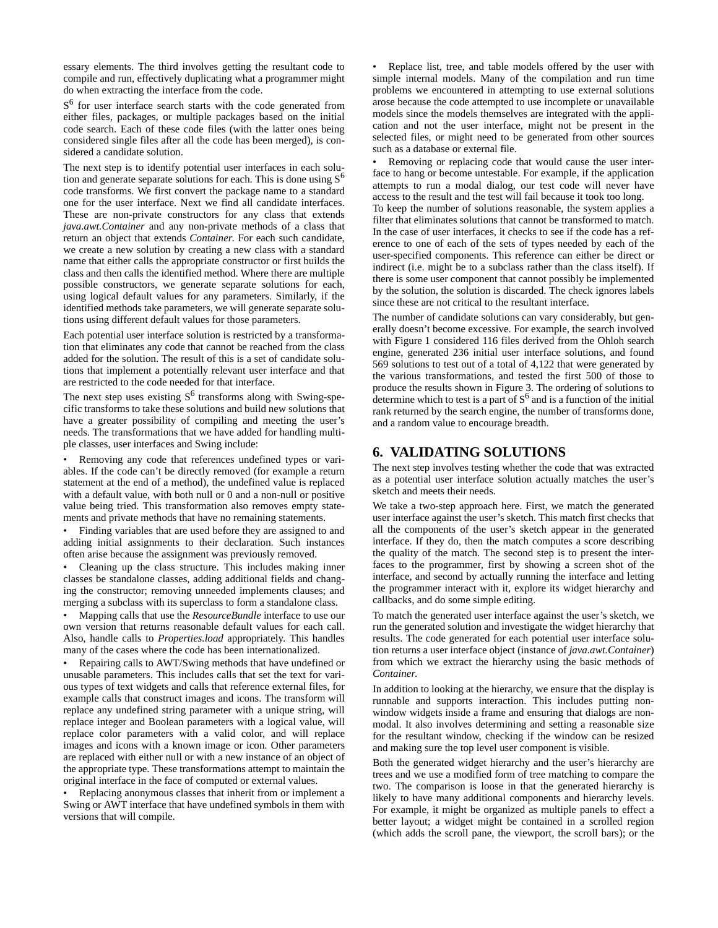essary elements. The third involves getting the resultant code to compile and run, effectively duplicating what a programmer might do when extracting the interface from the code.

 $S<sup>6</sup>$  for user interface search starts with the code generated from either files, packages, or multiple packages based on the initial code search. Each of these code files (with the latter ones being considered single files after all the code has been merged), is considered a candidate solution.

The next step is to identify potential user interfaces in each solution and generate separate solutions for each. This is done using  $S^6$ code transforms. We first convert the package name to a standard one for the user interface. Next we find all candidate interfaces. These are non-private constructors for any class that extends *java.awt.Container* and any non-private methods of a class that return an object that extends *Container*. For each such candidate, we create a new solution by creating a new class with a standard name that either calls the appropriate constructor or first builds the class and then calls the identified method. Where there are multiple possible constructors, we generate separate solutions for each, using logical default values for any parameters. Similarly, if the identified methods take parameters, we will generate separate solutions using different default values for those parameters.

Each potential user interface solution is restricted by a transformation that eliminates any code that cannot be reached from the class added for the solution. The result of this is a set of candidate solutions that implement a potentially relevant user interface and that are restricted to the code needed for that interface.

The next step uses existing  $S<sup>6</sup>$  transforms along with Swing-specific transforms to take these solutions and build new solutions that have a greater possibility of compiling and meeting the user's needs. The transformations that we have added for handling multiple classes, user interfaces and Swing include:

Removing any code that references undefined types or variables. If the code can't be directly removed (for example a return statement at the end of a method), the undefined value is replaced with a default value, with both null or 0 and a non-null or positive value being tried. This transformation also removes empty statements and private methods that have no remaining statements.

• Finding variables that are used before they are assigned to and adding initial assignments to their declaration. Such instances often arise because the assignment was previously removed.

• Cleaning up the class structure. This includes making inner classes be standalone classes, adding additional fields and changing the constructor; removing unneeded implements clauses; and merging a subclass with its superclass to form a standalone class.

• Mapping calls that use the *ResourceBundle* interface to use our own version that returns reasonable default values for each call. Also, handle calls to *Properties.load* appropriately. This handles many of the cases where the code has been internationalized.

• Repairing calls to AWT/Swing methods that have undefined or unusable parameters. This includes calls that set the text for various types of text widgets and calls that reference external files, for example calls that construct images and icons. The transform will replace any undefined string parameter with a unique string, will replace integer and Boolean parameters with a logical value, will replace color parameters with a valid color, and will replace images and icons with a known image or icon. Other parameters are replaced with either null or with a new instance of an object of the appropriate type. These transformations attempt to maintain the original interface in the face of computed or external values.

• Replacing anonymous classes that inherit from or implement a Swing or AWT interface that have undefined symbols in them with versions that will compile.

Replace list, tree, and table models offered by the user with simple internal models. Many of the compilation and run time problems we encountered in attempting to use external solutions arose because the code attempted to use incomplete or unavailable models since the models themselves are integrated with the application and not the user interface, might not be present in the selected files, or might need to be generated from other sources such as a database or external file.

Removing or replacing code that would cause the user interface to hang or become untestable. For example, if the application attempts to run a modal dialog, our test code will never have access to the result and the test will fail because it took too long.

To keep the number of solutions reasonable, the system applies a filter that eliminates solutions that cannot be transformed to match. In the case of user interfaces, it checks to see if the code has a reference to one of each of the sets of types needed by each of the user-specified components. This reference can either be direct or indirect (i.e. might be to a subclass rather than the class itself). If there is some user component that cannot possibly be implemented by the solution, the solution is discarded. The check ignores labels since these are not critical to the resultant interface.

The number of candidate solutions can vary considerably, but generally doesn't become excessive. For example, the search involved with Figure 1 considered 116 files derived from the Ohloh search engine, generated 236 initial user interface solutions, and found 569 solutions to test out of a total of 4,122 that were generated by the various transformations, and tested the first 500 of those to produce the results shown in Figure 3. The ordering of solutions to determine which to test is a part of  $S^6$  and is a function of the initial rank returned by the search engine, the number of transforms done, and a random value to encourage breadth.

# **6. VALIDATING SOLUTIONS**

The next step involves testing whether the code that was extracted as a potential user interface solution actually matches the user's sketch and meets their needs.

We take a two-step approach here. First, we match the generated user interface against the user's sketch. This match first checks that all the components of the user's sketch appear in the generated interface. If they do, then the match computes a score describing the quality of the match. The second step is to present the interfaces to the programmer, first by showing a screen shot of the interface, and second by actually running the interface and letting the programmer interact with it, explore its widget hierarchy and callbacks, and do some simple editing.

To match the generated user interface against the user's sketch, we run the generated solution and investigate the widget hierarchy that results. The code generated for each potential user interface solution returns a user interface object (instance of *java.awt.Container*) from which we extract the hierarchy using the basic methods of *Container*.

In addition to looking at the hierarchy, we ensure that the display is runnable and supports interaction. This includes putting nonwindow widgets inside a frame and ensuring that dialogs are nonmodal. It also involves determining and setting a reasonable size for the resultant window, checking if the window can be resized and making sure the top level user component is visible.

Both the generated widget hierarchy and the user's hierarchy are trees and we use a modified form of tree matching to compare the two. The comparison is loose in that the generated hierarchy is likely to have many additional components and hierarchy levels. For example, it might be organized as multiple panels to effect a better layout; a widget might be contained in a scrolled region (which adds the scroll pane, the viewport, the scroll bars); or the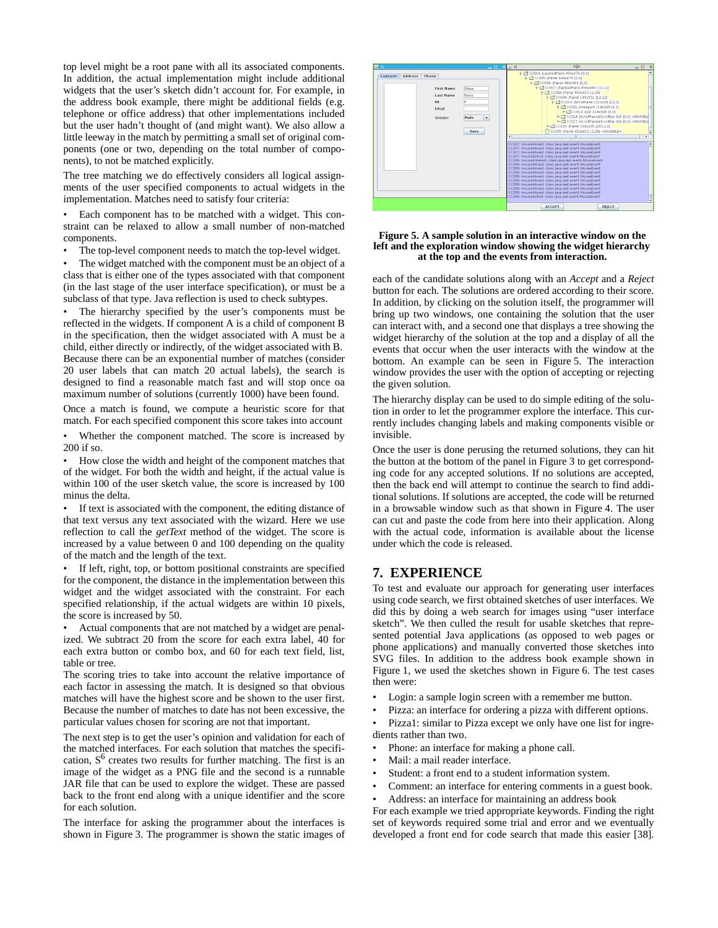top level might be a root pane with all its associated components. In addition, the actual implementation might include additional widgets that the user's sketch didn't account for. For example, in the address book example, there might be additional fields (e.g. telephone or office address) that other implementations included but the user hadn't thought of (and might want). We also allow a little leeway in the match by permitting a small set of original components (one or two, depending on the total number of components), to not be matched explicitly.

The tree matching we do effectively considers all logical assignments of the user specified components to actual widgets in the implementation. Matches need to satisfy four criteria:

Each component has to be matched with a widget. This constraint can be relaxed to allow a small number of non-matched components.

The top-level component needs to match the top-level widget.

The widget matched with the component must be an object of a class that is either one of the types associated with that component (in the last stage of the user interface specification), or must be a subclass of that type. Java reflection is used to check subtypes.

The hierarchy specified by the user's components must be reflected in the widgets. If component A is a child of component B in the specification, then the widget associated with A must be a child, either directly or indirectly, of the widget associated with B. Because there can be an exponential number of matches (consider 20 user labels that can match 20 actual labels), the search is designed to find a reasonable match fast and will stop once oa maximum number of solutions (currently 1000) have been found.

Once a match is found, we compute a heuristic score for that match. For each specified component this score takes into account

Whether the component matched. The score is increased by 200 if so.

• How close the width and height of the component matches that of the widget. For both the width and height, if the actual value is within 100 of the user sketch value, the score is increased by 100 minus the delta.

If text is associated with the component, the editing distance of that text versus any text associated with the wizard. Here we use reflection to call the *getText* method of the widget. The score is increased by a value between 0 and 100 depending on the quality of the match and the length of the text.

If left, right, top, or bottom positional constraints are specified for the component, the distance in the implementation between this widget and the widget associated with the constraint. For each specified relationship, if the actual widgets are within 10 pixels, the score is increased by 50.

• Actual components that are not matched by a widget are penalized. We subtract 20 from the score for each extra label, 40 for each extra button or combo box, and 60 for each text field, list, table or tree.

The scoring tries to take into account the relative importance of each factor in assessing the match. It is designed so that obvious matches will have the highest score and be shown to the user first. Because the number of matches to date has not been excessive, the particular values chosen for scoring are not that important.

The next step is to get the user's opinion and validation for each of the matched interfaces. For each solution that matches the specification,  $S<sup>6</sup>$  creates two results for further matching. The first is an image of the widget as a PNG file and the second is a runnable JAR file that can be used to explore the widget. These are passed back to the front end along with a unique identifier and the score for each solution.

The interface for asking the programmer about the interfaces is shown in Figure 3. The programmer is shown the static images of



#### **Figure 5. A sample solution in an interactive window on the left and the exploration window showing the widget hierarchy at the top and the events from interaction.**

each of the candidate solutions along with an *Accept* and a *Reject* button for each. The solutions are ordered according to their score. In addition, by clicking on the solution itself, the programmer will bring up two windows, one containing the solution that the user can interact with, and a second one that displays a tree showing the widget hierarchy of the solution at the top and a display of all the events that occur when the user interacts with the window at the bottom. An example can be seen in Figure 5. The interaction window provides the user with the option of accepting or rejecting the given solution.

The hierarchy display can be used to do simple editing of the solution in order to let the programmer explore the interface. This currently includes changing labels and making components visible or invisible.

Once the user is done perusing the returned solutions, they can hit the button at the bottom of the panel in Figure 3 to get corresponding code for any accepted solutions. If no solutions are accepted, then the back end will attempt to continue the search to find additional solutions. If solutions are accepted, the code will be returned in a browsable window such as that shown in Figure 4. The user can cut and paste the code from here into their application. Along with the actual code, information is available about the license under which the code is released.

# **7. EXPERIENCE**

To test and evaluate our approach for generating user interfaces using code search, we first obtained sketches of user interfaces. We did this by doing a web search for images using "user interface sketch". We then culled the result for usable sketches that represented potential Java applications (as opposed to web pages or phone applications) and manually converted those sketches into SVG files. In addition to the address book example shown in Figure 1, we used the sketches shown in Figure 6. The test cases then were:

- Login: a sample login screen with a remember me button.
- Pizza: an interface for ordering a pizza with different options.

• Pizza1: similar to Pizza except we only have one list for ingredients rather than two.

- Phone: an interface for making a phone call.
- Mail: a mail reader interface.
- Student: a front end to a student information system.
- Comment: an interface for entering comments in a guest book.
- Address: an interface for maintaining an address book

For each example we tried appropriate keywords. Finding the right set of keywords required some trial and error and we eventually developed a front end for code search that made this easier [38].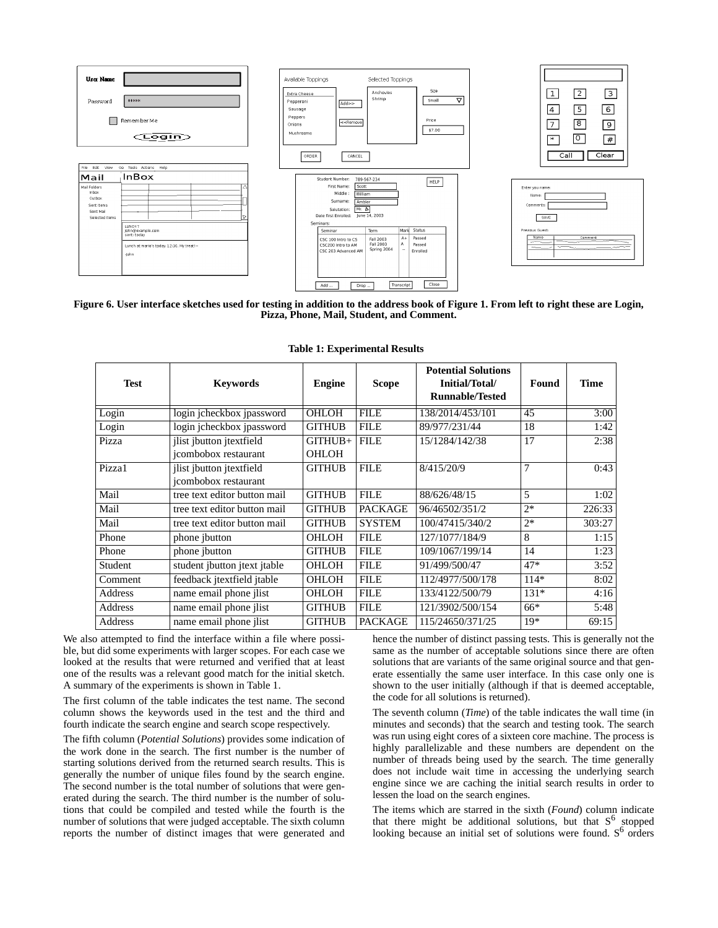

**Figure 6. User interface sketches used for testing in addition to the address book of Figure 1. From left to right these are Login, Pizza, Phone, Mail, Student, and Comment.** 

| <b>Test</b> | <b>Keywords</b>                                  | <b>Engine</b>             | <b>Scope</b>   | <b>Potential Solutions</b><br>Initial/Total/<br><b>Runnable/Tested</b> | Found          | <b>Time</b> |
|-------------|--------------------------------------------------|---------------------------|----------------|------------------------------------------------------------------------|----------------|-------------|
| Login       | login jcheckbox jpassword                        | OHLOH                     | <b>FILE</b>    | 138/2014/453/101                                                       | 45             | 3:00        |
| Login       | login jcheckbox jpassword                        | <b>GITHUB</b>             | <b>FILE</b>    | 89/977/231/44                                                          | 18             | 1:42        |
| Pizza       | jlist jbutton jtextfield<br>jcombobox restaurant | $GITHUB+$<br><b>OHLOH</b> | <b>FILE</b>    | 15/1284/142/38                                                         | 17             | 2:38        |
| Pizza1      | jlist jbutton jtextfield<br>jcombobox restaurant | <b>GITHUB</b>             | <b>FILE</b>    | 8/415/20/9                                                             | $\overline{7}$ | 0:43        |
| Mail        | tree text editor button mail                     | <b>GITHUB</b>             | <b>FILE</b>    | 88/626/48/15                                                           | 5              | 1:02        |
| Mail        | tree text editor button mail                     | <b>GITHUB</b>             | <b>PACKAGE</b> | 96/46502/351/2                                                         | $2*$           | 226:33      |
| Mail        | tree text editor button mail                     | <b>GITHUB</b>             | <b>SYSTEM</b>  | 100/47415/340/2                                                        | $2*$           | 303:27      |
| Phone       | phone <i>j</i> button                            | <b>OHLOH</b>              | <b>FILE</b>    | 127/1077/184/9                                                         | 8              | 1:15        |
| Phone       | phone jbutton                                    | <b>GITHUB</b>             | <b>FILE</b>    | 109/1067/199/14                                                        | 14             | 1:23        |
| Student     | student jbutton jtext jtable                     | <b>OHLOH</b>              | <b>FILE</b>    | 91/499/500/47                                                          | $47*$          | 3:52        |
| Comment     | feedback jtextfield jtable                       | <b>OHLOH</b>              | <b>FILE</b>    | 112/4977/500/178                                                       | $114*$         | 8:02        |
| Address     | name email phone jlist                           | <b>OHLOH</b>              | <b>FILE</b>    | 133/4122/500/79                                                        | $131*$         | 4:16        |
| Address     | name email phone jlist                           | <b>GITHUB</b>             | <b>FILE</b>    | 121/3902/500/154                                                       | $66*$          | 5:48        |
| Address     | name email phone jlist                           | <b>GITHUB</b>             | <b>PACKAGE</b> | 115/24650/371/25                                                       | $19*$          | 69:15       |

**Table 1: Experimental Results**

We also attempted to find the interface within a file where possible, but did some experiments with larger scopes. For each case we looked at the results that were returned and verified that at least one of the results was a relevant good match for the initial sketch. A summary of the experiments is shown in Table 1.

The first column of the table indicates the test name. The second column shows the keywords used in the test and the third and fourth indicate the search engine and search scope respectively.

The fifth column (*Potential Solutions*) provides some indication of the work done in the search. The first number is the number of starting solutions derived from the returned search results. This is generally the number of unique files found by the search engine. The second number is the total number of solutions that were generated during the search. The third number is the number of solutions that could be compiled and tested while the fourth is the number of solutions that were judged acceptable. The sixth column reports the number of distinct images that were generated and

hence the number of distinct passing tests. This is generally not the same as the number of acceptable solutions since there are often solutions that are variants of the same original source and that generate essentially the same user interface. In this case only one is shown to the user initially (although if that is deemed acceptable, the code for all solutions is returned).

The seventh column (*Time*) of the table indicates the wall time (in minutes and seconds) that the search and testing took. The search was run using eight cores of a sixteen core machine. The process is highly parallelizable and these numbers are dependent on the number of threads being used by the search. The time generally does not include wait time in accessing the underlying search engine since we are caching the initial search results in order to lessen the load on the search engines.

The items which are starred in the sixth (*Found*) column indicate that there might be additional solutions, but that  $S^6$  stopped looking because an initial set of solutions were found. S<sup>6</sup> orders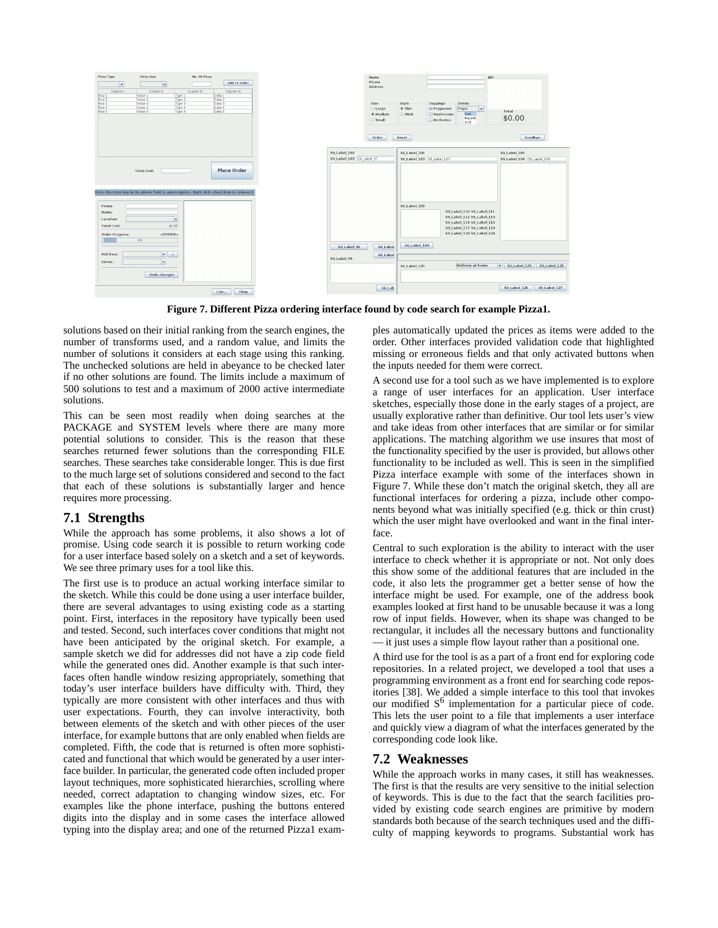

**Figure 7. Different Pizza ordering interface found by code search for example Pizza1.**

solutions based on their initial ranking from the search engines, the number of transforms used, and a random value, and limits the number of solutions it considers at each stage using this ranking. The unchecked solutions are held in abeyance to be checked later if no other solutions are found. The limits include a maximum of 500 solutions to test and a maximum of 2000 active intermediate solutions.

This can be seen most readily when doing searches at the PACKAGE and SYSTEM levels where there are many more potential solutions to consider. This is the reason that these searches returned fewer solutions than the corresponding FILE searches. These searches take considerable longer. This is due first to the much large set of solutions considered and second to the fact that each of these solutions is substantially larger and hence requires more processing.

### **7.1 Strengths**

While the approach has some problems, it also shows a lot of promise. Using code search it is possible to return working code for a user interface based solely on a sketch and a set of keywords. We see three primary uses for a tool like this.

The first use is to produce an actual working interface similar to the sketch. While this could be done using a user interface builder, there are several advantages to using existing code as a starting point. First, interfaces in the repository have typically been used and tested. Second, such interfaces cover conditions that might not have been anticipated by the original sketch. For example, a sample sketch we did for addresses did not have a zip code field while the generated ones did. Another example is that such interfaces often handle window resizing appropriately, something that today's user interface builders have difficulty with. Third, they typically are more consistent with other interfaces and thus with user expectations. Fourth, they can involve interactivity, both between elements of the sketch and with other pieces of the user interface, for example buttons that are only enabled when fields are completed. Fifth, the code that is returned is often more sophisticated and functional that which would be generated by a user interface builder. In particular, the generated code often included proper layout techniques, more sophisticated hierarchies, scrolling where needed, correct adaptation to changing window sizes, etc. For examples like the phone interface, pushing the buttons entered digits into the display and in some cases the interface allowed typing into the display area; and one of the returned Pizza1 examples automatically updated the prices as items were added to the order. Other interfaces provided validation code that highlighted missing or erroneous fields and that only activated buttons when the inputs needed for them were correct.

A second use for a tool such as we have implemented is to explore a range of user interfaces for an application. User interface sketches, especially those done in the early stages of a project, are usually explorative rather than definitive. Our tool lets user's view and take ideas from other interfaces that are similar or for similar applications. The matching algorithm we use insures that most of the functionality specified by the user is provided, but allows other functionality to be included as well. This is seen in the simplified Pizza interface example with some of the interfaces shown in Figure 7. While these don't match the original sketch, they all are functional interfaces for ordering a pizza, include other components beyond what was initially specified (e.g. thick or thin crust) which the user might have overlooked and want in the final interface.

Central to such exploration is the ability to interact with the user interface to check whether it is appropriate or not. Not only does this show some of the additional features that are included in the code, it also lets the programmer get a better sense of how the interface might be used. For example, one of the address book examples looked at first hand to be unusable because it was a long row of input fields. However, when its shape was changed to be rectangular, it includes all the necessary buttons and functionality — it just uses a simple flow layout rather than a positional one.

A third use for the tool is as a part of a front end for exploring code repositories. In a related project, we developed a tool that uses a programming environment as a front end for searching code repositories [38]. We added a simple interface to this tool that invokes our modified S<sup>6</sup> implementation for a particular piece of code. This lets the user point to a file that implements a user interface and quickly view a diagram of what the interfaces generated by the corresponding code look like.

### **7.2 Weaknesses**

While the approach works in many cases, it still has weaknesses. The first is that the results are very sensitive to the initial selection of keywords. This is due to the fact that the search facilities provided by existing code search engines are primitive by modern standards both because of the search techniques used and the difficulty of mapping keywords to programs. Substantial work has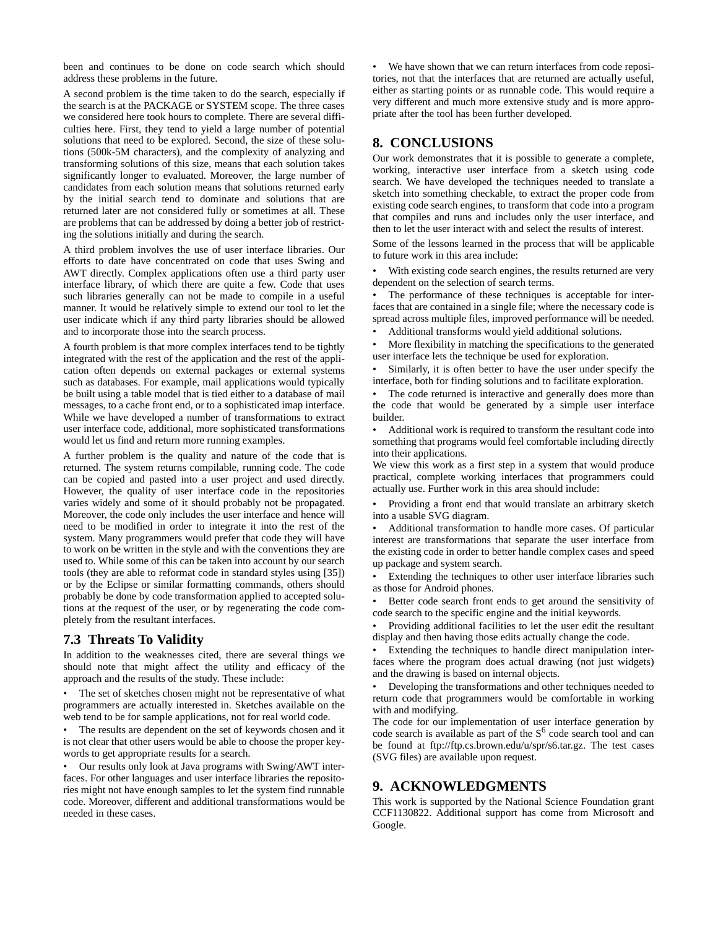been and continues to be done on code search which should address these problems in the future.

A second problem is the time taken to do the search, especially if the search is at the PACKAGE or SYSTEM scope. The three cases we considered here took hours to complete. There are several difficulties here. First, they tend to yield a large number of potential solutions that need to be explored. Second, the size of these solutions (500k-5M characters), and the complexity of analyzing and transforming solutions of this size, means that each solution takes significantly longer to evaluated. Moreover, the large number of candidates from each solution means that solutions returned early by the initial search tend to dominate and solutions that are returned later are not considered fully or sometimes at all. These are problems that can be addressed by doing a better job of restricting the solutions initially and during the search.

A third problem involves the use of user interface libraries. Our efforts to date have concentrated on code that uses Swing and AWT directly. Complex applications often use a third party user interface library, of which there are quite a few. Code that uses such libraries generally can not be made to compile in a useful manner. It would be relatively simple to extend our tool to let the user indicate which if any third party libraries should be allowed and to incorporate those into the search process.

A fourth problem is that more complex interfaces tend to be tightly integrated with the rest of the application and the rest of the application often depends on external packages or external systems such as databases. For example, mail applications would typically be built using a table model that is tied either to a database of mail messages, to a cache front end, or to a sophisticated imap interface. While we have developed a number of transformations to extract user interface code, additional, more sophisticated transformations would let us find and return more running examples.

A further problem is the quality and nature of the code that is returned. The system returns compilable, running code. The code can be copied and pasted into a user project and used directly. However, the quality of user interface code in the repositories varies widely and some of it should probably not be propagated. Moreover, the code only includes the user interface and hence will need to be modified in order to integrate it into the rest of the system. Many programmers would prefer that code they will have to work on be written in the style and with the conventions they are used to. While some of this can be taken into account by our search tools (they are able to reformat code in standard styles using [35]) or by the Eclipse or similar formatting commands, others should probably be done by code transformation applied to accepted solutions at the request of the user, or by regenerating the code completely from the resultant interfaces.

# **7.3 Threats To Validity**

In addition to the weaknesses cited, there are several things we should note that might affect the utility and efficacy of the approach and the results of the study. These include:

The set of sketches chosen might not be representative of what programmers are actually interested in. Sketches available on the web tend to be for sample applications, not for real world code.

• The results are dependent on the set of keywords chosen and it is not clear that other users would be able to choose the proper keywords to get appropriate results for a search.

• Our results only look at Java programs with Swing/AWT interfaces. For other languages and user interface libraries the repositories might not have enough samples to let the system find runnable code. Moreover, different and additional transformations would be needed in these cases.

• We have shown that we can return interfaces from code repositories, not that the interfaces that are returned are actually useful, either as starting points or as runnable code. This would require a very different and much more extensive study and is more appropriate after the tool has been further developed.

# **8. CONCLUSIONS**

Our work demonstrates that it is possible to generate a complete, working, interactive user interface from a sketch using code search. We have developed the techniques needed to translate a sketch into something checkable, to extract the proper code from existing code search engines, to transform that code into a program that compiles and runs and includes only the user interface, and then to let the user interact with and select the results of interest.

Some of the lessons learned in the process that will be applicable to future work in this area include:

With existing code search engines, the results returned are very dependent on the selection of search terms.

The performance of these techniques is acceptable for interfaces that are contained in a single file; where the necessary code is spread across multiple files, improved performance will be needed.

• Additional transforms would yield additional solutions.

• More flexibility in matching the specifications to the generated user interface lets the technique be used for exploration.

Similarly, it is often better to have the user under specify the interface, both for finding solutions and to facilitate exploration.

The code returned is interactive and generally does more than the code that would be generated by a simple user interface builder.

• Additional work is required to transform the resultant code into something that programs would feel comfortable including directly into their applications.

We view this work as a first step in a system that would produce practical, complete working interfaces that programmers could actually use. Further work in this area should include:

• Providing a front end that would translate an arbitrary sketch into a usable SVG diagram.

• Additional transformation to handle more cases. Of particular interest are transformations that separate the user interface from the existing code in order to better handle complex cases and speed up package and system search.

Extending the techniques to other user interface libraries such as those for Android phones.

Better code search front ends to get around the sensitivity of code search to the specific engine and the initial keywords.

• Providing additional facilities to let the user edit the resultant display and then having those edits actually change the code.

Extending the techniques to handle direct manipulation interfaces where the program does actual drawing (not just widgets) and the drawing is based on internal objects.

• Developing the transformations and other techniques needed to return code that programmers would be comfortable in working with and modifying.

The code for our implementation of user interface generation by code search is available as part of the  $S<sup>6</sup>$  code search tool and can be found at ftp://ftp.cs.brown.edu/u/spr/s6.tar.gz. The test cases (SVG files) are available upon request.

# **9. ACKNOWLEDGMENTS**

This work is supported by the National Science Foundation grant CCF1130822. Additional support has come from Microsoft and Google.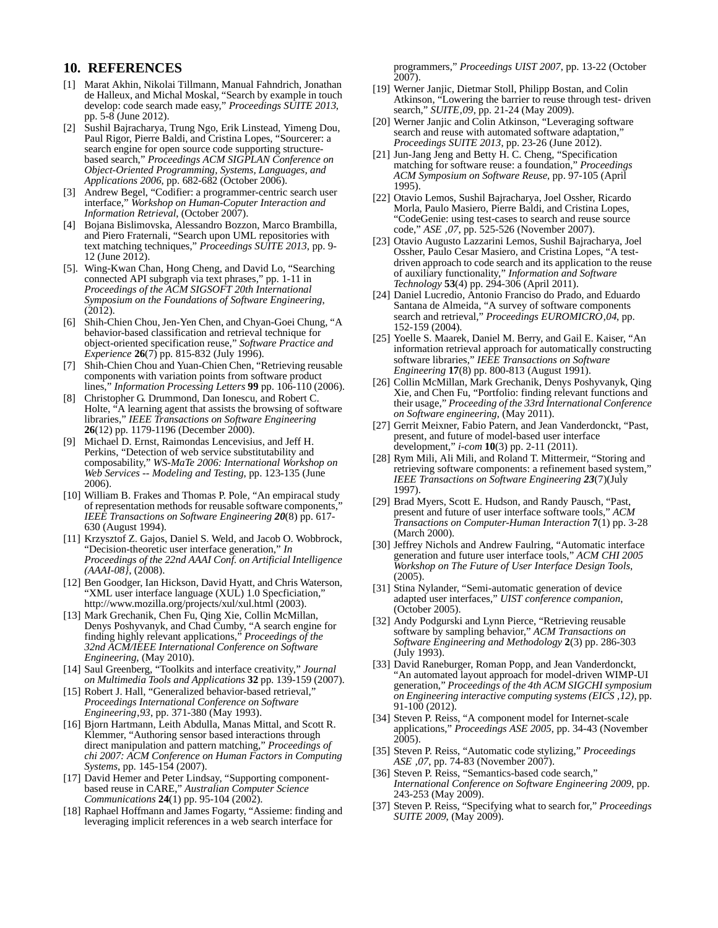### **10. REFERENCES**

- [1] Marat Akhin, Nikolai Tillmann, Manual Fahndrich, Jonathan de Halleux, and Michal Moskal, "Search by example in touch develop: code search made easy," *Proceedings SUITE 2013*, pp. 5-8 (June 2012).
- [2] Sushil Bajracharya, Trung Ngo, Erik Linstead, Yimeng Dou, Paul Rigor, Pierre Baldi, and Cristina Lopes, "Sourcerer: a search engine for open source code supporting structure-<br>based search," Proceedings ACM SIGPLAN Conference on based search," *Proceedings ACM SIGPLAN Conference on Object-Oriented Programming, Systems, Languages, and Applications 2006*, pp. 682-682 (October 2006).
- [3] Andrew Begel, "Codifier: a programmer-centric search user interface," *Workshop on Human-Coputer Interaction and Information Retrieval*, (October 2007).
- [4] Bojana Bislimovska, Alessandro Bozzon, Marco Brambilla, and Piero Fraternali, "Search upon UML repositories with text matching techniques," *Proceedings SUITE 2013*, pp. 9- 12 (June 2012).
- [5]. Wing-Kwan Chan, Hong Cheng, and David Lo, "Searching connected API subgraph via text phrases," pp. 1-11 in *Proceedings of the ACM SIGSOFT 20th International Symposium on the Foundations of Software Engineering*, (2012).
- [6] Shih-Chien Chou, Jen-Yen Chen, and Chyan-Goei Chung, "A behavior-based classification and retrieval technique for object-oriented specification reuse," *Software Practice and Experience* **26**(7) pp. 815-832 (July 1996).
- [7] Shih-Chien Chou and Yuan-Chien Chen, "Retrieving reusable components with variation points from software product lines," *Information Processing Letters* **99** pp. 106-110 (2006).
- [8] Christopher G. Drummond, Dan Ionescu, and Robert C. Holte, "A learning agent that assists the browsing of software libraries," *IEEE Transactions on Software Engineering* **26**(12) pp. 1179-1196 (December 2000).
- [9] Michael D. Ernst, Raimondas Lencevisius, and Jeff H. Perkins, "Detection of web service substitutability and composability," *WS-MaTe 2006: International Workshop on Web Services -- Modeling and Testing*, pp. 123-135 (June 2006).
- [10] William B. Frakes and Thomas P. Pole, "An empiracal study of representation methods for reusable software components," *IEEE Transactions on Software Engineering 20*(8) pp. 617- 630 (August 1994).
- [11] Krzysztof Z. Gajos, Daniel S. Weld, and Jacob O. Wobbrock, "Decision-theoretic user interface generation," *In Proceedings of the 22nd AAAI Conf. on Artificial Intelligence (AAAI-08}*, (2008).
- [12] Ben Goodger, Ian Hickson, David Hyatt, and Chris Waterson, "XML user interface language (XUL) 1.0 Specficiation," http://www.mozilla.org/projects/xul/xul.html (2003).
- [13] Mark Grechanik, Chen Fu, Qing Xie, Collin McMillan, Denys Poshyvanyk, and Chad Cumby, "A search engine for finding highly relevant applications," *Proceedings of the 32nd ACM/IEEE International Conference on Software Engineering*, (May 2010).
- [14] Saul Greenberg, "Toolkits and interface creativity," *Journal on Multimedia Tools and Applications* **<sup>32</sup>**pp. 139-159 (2007).
- [15] Robert J. Hall, "Generalized behavior-based retrieval," *Proceedings International Conference on Software Engineering'93*, pp. 371-380 (May 1993).
- [16] Bjorn Hartmann, Leith Abdulla, Manas Mittal, and Scott R. Klemmer, "Authoring sensor based interactions through direct manipulation and pattern matching," *Proceedings of chi 2007: ACM Conference on Human Factors in Computing Systems*, pp. 145-154 (2007).
- [17] David Hemer and Peter Lindsay, "Supporting componentbased reuse in CARE," *Australian Computer Science Communications* **24**(1) pp. 95-104 (2002).
- [18] Raphael Hoffmann and James Fogarty, "Assieme: finding and leveraging implicit references in a web search interface for

programmers," *Proceedings UIST 2007*, pp. 13-22 (October  $2007$ ).

- [19] Werner Janjic, Dietmar Stoll, Philipp Bostan, and Colin Atkinson, "Lowering the barrier to reuse through test- driven search," *SUITE*, 09, pp. 21-24 (May 2009).
- [20] Werner Janjic and Colin Atkinson, "Leveraging software search and reuse with automated software adaptation," *Proceedings SUITE 2013*, pp. 23-26 (June 2012).
- [21] Jun-Jang Jeng and Betty H. C. Cheng, "Specification matching for software reuse: a foundation," *Proceedings ACM Symposium on Software Reuse*, pp. 97-105 (April 1995).
- [22] Otavio Lemos, Sushil Bajracharya, Joel Ossher, Ricardo Morla, Paulo Masiero, Pierre Baldi, and Cristina Lopes, "CodeGenie: using test-cases to search and reuse source code," *ASE '07*, pp. 525-526 (November 2007).
- [23] Otavio Augusto Lazzarini Lemos, Sushil Bajracharya, Joel Ossher, Paulo Cesar Masiero, and Cristina Lopes, "A testdriven approach to code search and its application to the reuse of auxiliary functionality," *Information and Software Technology* **53**(4) pp. 294-306 (April 2011).
- [24] Daniel Lucredio, Antonio Franciso do Prado, and Eduardo Santana de Almeida, "A survey of software components search and retrieval," *Proceedings EUROMICRO*,04, pp. 152-159 (2004).
- [25] Yoelle S. Maarek, Daniel M. Berry, and Gail E. Kaiser, "An information retrieval approach for automatically constructing software libraries," *IEEE Transactions on Software Engineering* **17**(8) pp. 800-813 (August 1991).
- [26] Collin McMillan, Mark Grechanik, Denys Poshyvanyk, Qing Xie, and Chen Fu, "Portfolio: finding relevant functions and their usage," *Proceeding of the 33rd International Conference on Software engineering*, (May 2011).
- [27] Gerrit Meixner, Fabio Patern, and Jean Vanderdonckt, "Past, present, and future of model-based user interface development," *i-com* **10**(3) pp. 2-11 (2011).
- [28] Rym Mili, Ali Mili, and Roland T. Mittermeir, "Storing and retrieving software components: a refinement based system," *IEEE Transactions on Software Engineering 23*(7)(July 1997).
- [29] Brad Myers, Scott E. Hudson, and Randy Pausch, "Past, present and future of user interface software tools," *ACM Transactions on Computer-Human Interaction* **7**(1) pp. 3-28 (March 2000).
- [30] Jeffrey Nichols and Andrew Faulring, "Automatic interface generation and future user interface tools," *ACM CHI 2005 Workshop on The Future of User Interface Design Tools*, (2005).
- [31] Stina Nylander, "Semi-automatic generation of device adapted user interfaces," *UIST conference companion*, (October 2005).
- [32] Andy Podgurski and Lynn Pierce, "Retrieving reusable software by sampling behavior," *ACM Transactions on Software Engineering and Methodology* **<sup>2</sup>**(3) pp. 286-303 (July 1993).
- [33] David Raneburger, Roman Popp, and Jean Vanderdonckt, "An automated layout approach for model-driven WIMP-UI generation," *Proceedings of the 4th ACM SIGCHI symposium on Engineering interactive computing systems (EICS '12)*, pp. 91-100 (2012).
- [34] Steven P. Reiss, "A component model for Internet-scale applications," *Proceedings ASE 2005*, pp. 34-43 (November 2005).
- [35] Steven P. Reiss, "Automatic code stylizing," *Proceedings ASE '07*, pp. 74-83 (November 2007).
- [36] Steven P. Reiss, "Semantics-based code search," *International Conference on Software Engineering 2009*, pp. 243-253 (May 2009).
- [37] Steven P. Reiss, "Specifying what to search for," *Proceedings SUITE 2009*, (May 2009).